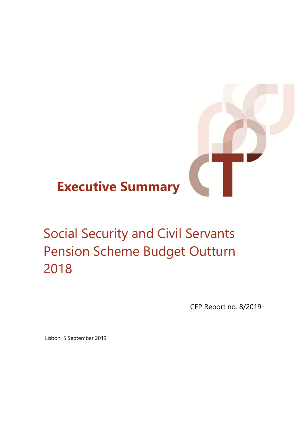# **Executive Summary**

# Social Security and Civil Servants Pension Scheme Budget Outturn 2018

CFP Report no. 8/2019

Lisbon, 5 September 2019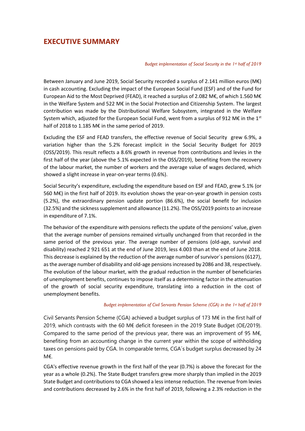# **EXECUTIVE SUMMARY**

### *Budget implementation of Social Security in the 1st half of 2019*

Between January and June 2019, Social Security recorded a surplus of 2.141 million euros (M€) in cash accounting. Excluding the impact of the European Social Fund (ESF) and of the Fund for European Aid to the Most Deprived (FEAD), it reached a surplus of 2.082 M€, of which 1.560 M€ in the Welfare System and 522 M€ in the Social Protection and Citizenship System. The largest contribution was made by the Distributional Welfare Subsystem, integrated in the Welfare System which, adjusted for the European Social Fund, went from a surplus of 912 M€ in the 1st half of 2018 to 1.185 M€ in the same period of 2019.

Excluding the ESF and FEAD transfers, the effective revenue of Social Security grew 6.9%, a variation higher than the 5.2% forecast implicit in the Social Security Budget for 2019 (OSS/2019). This result reflects a 8.6% growth in revenue from contributions and levies in the first half of the year (above the 5.1% expected in the OSS/2019), benefiting from the recovery of the labour market, the number of workers and the average value of wages declared, which showed a slight increase in year-on-year terms (0.6%).

Social Security's expenditure, excluding the expenditure based on ESF and FEAD, grew 5.1% (or 560 M€) in the first half of 2019. Its evolution shows the year-on-year growth in pension costs (5.2%), the extraordinary pension update portion (86.6%), the social benefit for inclusion (32.5%) and the sickness supplement and allowance (11.2%). The OSS/2019 points to an increase in expenditure of 7.1%.

The behavior of the expenditure with pensions reflects the update of the pensions' value, given that the average number of pensions remained virtually unchanged from that recorded in the same period of the previous year. The average number of pensions (old-age, survival and disability) reached 2 921 651 at the end of June 2019, less 4.003 than at the end of June 2018. This decrease is explained by the reduction of the average number of survivor´s pensions(6127), as the average number of disability and old-age pensions increased by 2086 and 38, respectively. The evolution of the labour market, with the gradual reduction in the number of beneficiaries of unemployment benefits, continues to impose itself as a determining factor in the attenuation of the growth of social security expenditure, translating into a reduction in the cost of unemployment benefits.

## *Budget implementation of Civil Servants Pension Scheme (CGA) in the 1st half of 2019*

Civil Servants Pension Scheme (CGA) achieved a budget surplus of 173 M€ in the first half of 2019, which contrasts with the 60 M€ deficit foreseen in the 2019 State Budget (OE/2019). Compared to the same period of the previous year, there was an improvement of 95 M $\epsilon$ , benefiting from an accounting change in the current year within the scope of withholding taxes on pensions paid by CGA. In comparable terms, CGA´s budget surplus decreased by 24 M€.

CGA's effective revenue growth in the first half of the year (0.7%) is above the forecast for the year as a whole (0.2%). The State Budget transfers grew more sharply than implied in the 2019 State Budget and contributions to CGA showed a less intense reduction. The revenue from levies and contributions decreased by 2.6% in the first half of 2019, following a 2.3% reduction in the